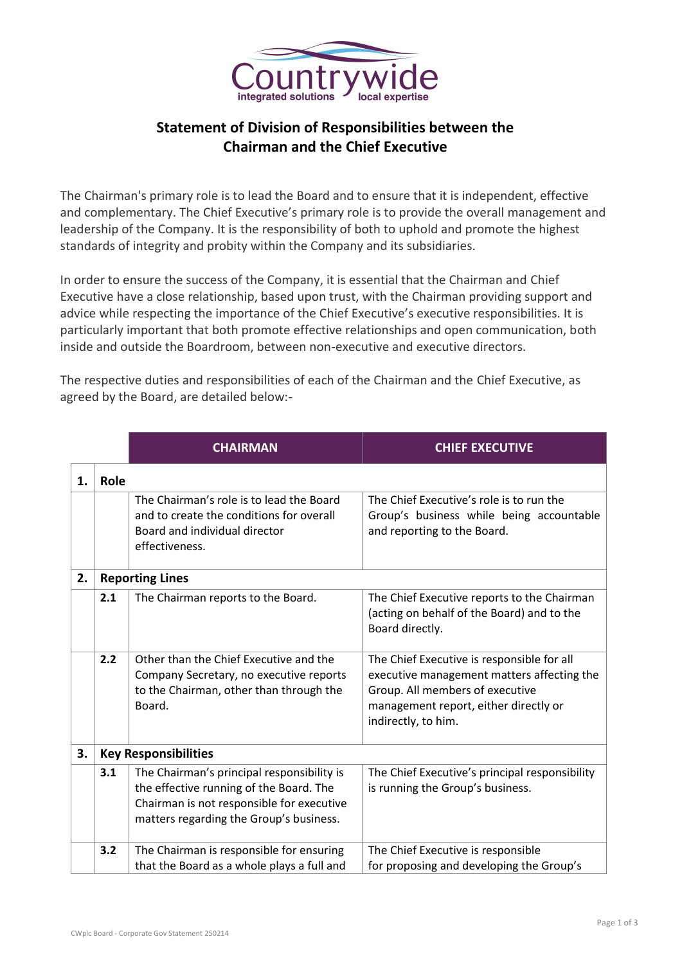

## **Statement of Division of Responsibilities between the Chairman and the Chief Executive**

The Chairman's primary role is to lead the Board and to ensure that it is independent, effective and complementary. The Chief Executive's primary role is to provide the overall management and leadership of the Company. It is the responsibility of both to uphold and promote the highest standards of integrity and probity within the Company and its subsidiaries.

In order to ensure the success of the Company, it is essential that the Chairman and Chief Executive have a close relationship, based upon trust, with the Chairman providing support and advice while respecting the importance of the Chief Executive's executive responsibilities. It is particularly important that both promote effective relationships and open communication, both inside and outside the Boardroom, between non-executive and executive directors.

The respective duties and responsibilities of each of the Chairman and the Chief Executive, as agreed by the Board, are detailed below:-

|    |      | <b>CHAIRMAN</b>                                                                                                                                                               | <b>CHIEF EXECUTIVE</b>                                                                                                                                                                      |  |  |
|----|------|-------------------------------------------------------------------------------------------------------------------------------------------------------------------------------|---------------------------------------------------------------------------------------------------------------------------------------------------------------------------------------------|--|--|
| 1. | Role |                                                                                                                                                                               |                                                                                                                                                                                             |  |  |
|    |      | The Chairman's role is to lead the Board<br>and to create the conditions for overall<br>Board and individual director<br>effectiveness.                                       | The Chief Executive's role is to run the<br>Group's business while being accountable<br>and reporting to the Board.                                                                         |  |  |
| 2. |      | <b>Reporting Lines</b>                                                                                                                                                        |                                                                                                                                                                                             |  |  |
|    | 2.1  | The Chairman reports to the Board.                                                                                                                                            | The Chief Executive reports to the Chairman<br>(acting on behalf of the Board) and to the<br>Board directly.                                                                                |  |  |
|    | 2.2  | Other than the Chief Executive and the<br>Company Secretary, no executive reports<br>to the Chairman, other than through the<br>Board.                                        | The Chief Executive is responsible for all<br>executive management matters affecting the<br>Group. All members of executive<br>management report, either directly or<br>indirectly, to him. |  |  |
| 3. |      | <b>Key Responsibilities</b>                                                                                                                                                   |                                                                                                                                                                                             |  |  |
|    | 3.1  | The Chairman's principal responsibility is<br>the effective running of the Board. The<br>Chairman is not responsible for executive<br>matters regarding the Group's business. | The Chief Executive's principal responsibility<br>is running the Group's business.                                                                                                          |  |  |
|    | 3.2  | The Chairman is responsible for ensuring<br>that the Board as a whole plays a full and                                                                                        | The Chief Executive is responsible<br>for proposing and developing the Group's                                                                                                              |  |  |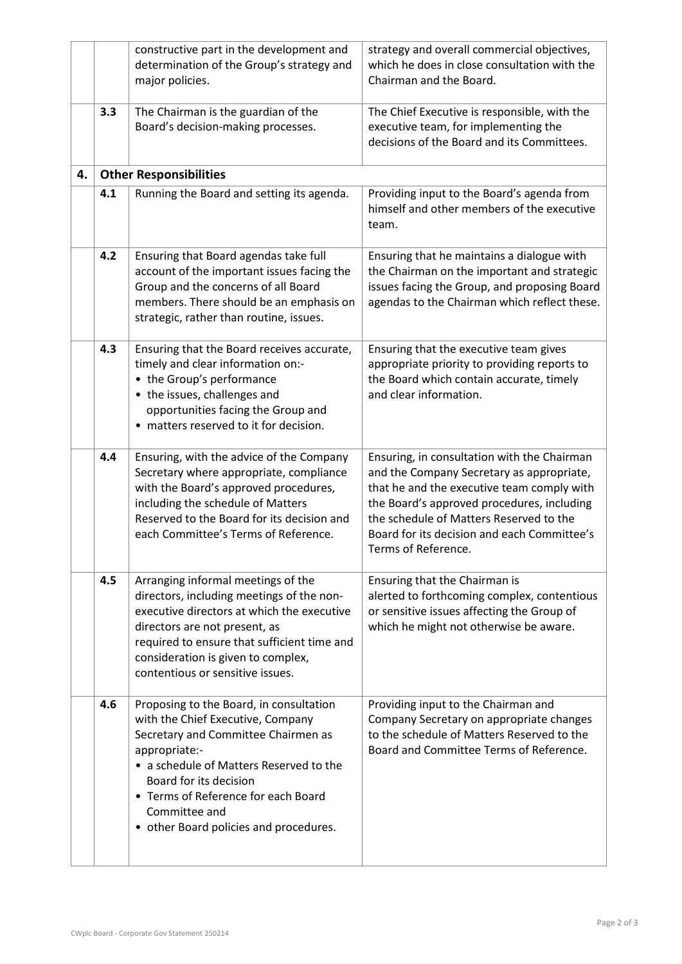|    |     | constructive part in the development and<br>determination of the Group's strategy and<br>major policies.                                                                                                                                                                                                    | strategy and overall commercial objectives,<br>which he does in close consultation with the<br>Chairman and the Board.                                                                                                                                                                                |
|----|-----|-------------------------------------------------------------------------------------------------------------------------------------------------------------------------------------------------------------------------------------------------------------------------------------------------------------|-------------------------------------------------------------------------------------------------------------------------------------------------------------------------------------------------------------------------------------------------------------------------------------------------------|
|    | 3.3 | The Chairman is the guardian of the<br>Board's decision-making processes.                                                                                                                                                                                                                                   | The Chief Executive is responsible, with the<br>executive team, for implementing the<br>decisions of the Board and its Committees.                                                                                                                                                                    |
| 4. |     | <b>Other Responsibilities</b>                                                                                                                                                                                                                                                                               |                                                                                                                                                                                                                                                                                                       |
|    | 4.1 | Running the Board and setting its agenda.                                                                                                                                                                                                                                                                   | Providing input to the Board's agenda from<br>himself and other members of the executive<br>team.                                                                                                                                                                                                     |
|    | 4.2 | Ensuring that Board agendas take full<br>account of the important issues facing the<br>Group and the concerns of all Board<br>members. There should be an emphasis on<br>strategic, rather than routine, issues.                                                                                            | Ensuring that he maintains a dialogue with<br>the Chairman on the important and strategic<br>issues facing the Group, and proposing Board<br>agendas to the Chairman which reflect these.                                                                                                             |
|    | 4.3 | Ensuring that the Board receives accurate,<br>timely and clear information on:-<br>• the Group's performance<br>• the issues, challenges and<br>opportunities facing the Group and<br>matters reserved to it for decision.                                                                                  | Ensuring that the executive team gives<br>appropriate priority to providing reports to<br>the Board which contain accurate, timely<br>and clear information.                                                                                                                                          |
|    | 4.4 | Ensuring, with the advice of the Company<br>Secretary where appropriate, compliance<br>with the Board's approved procedures,<br>including the schedule of Matters<br>Reserved to the Board for its decision and<br>each Committee's Terms of Reference.                                                     | Ensuring, in consultation with the Chairman<br>and the Company Secretary as appropriate,<br>that he and the executive team comply with<br>the Board's approved procedures, including<br>the schedule of Matters Reserved to the<br>Board for its decision and each Committee's<br>Terms of Reference. |
|    | 4.5 | Arranging informal meetings of the<br>directors, including meetings of the non-<br>executive directors at which the executive<br>directors are not present, as<br>required to ensure that sufficient time and<br>consideration is given to complex,<br>contentious or sensitive issues.                     | Ensuring that the Chairman is<br>alerted to forthcoming complex, contentious<br>or sensitive issues affecting the Group of<br>which he might not otherwise be aware.                                                                                                                                  |
|    | 4.6 | Proposing to the Board, in consultation<br>with the Chief Executive, Company<br>Secretary and Committee Chairmen as<br>appropriate:-<br>• a schedule of Matters Reserved to the<br>Board for its decision<br>• Terms of Reference for each Board<br>Committee and<br>• other Board policies and procedures. | Providing input to the Chairman and<br>Company Secretary on appropriate changes<br>to the schedule of Matters Reserved to the<br>Board and Committee Terms of Reference.                                                                                                                              |